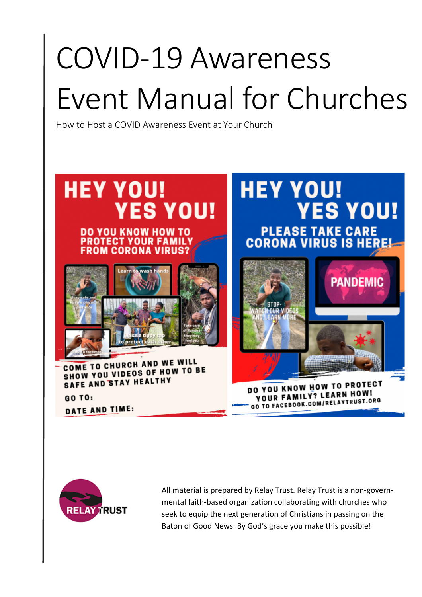# COVID-19 Awareness Event Manual for Churches

How to Host a COVID Awareness Event at Your Church





All material is prepared by Relay Trust. Relay Trust is a non-governmental faith-based organization collaborating with churches who seek to equip the next generation of Christians in passing on the Baton of Good News. By God's grace you make this possible!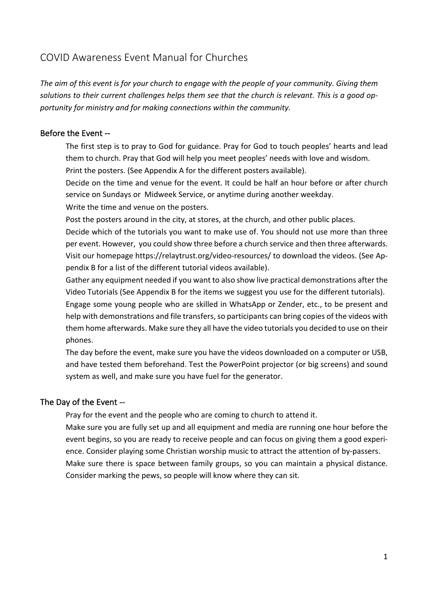# COVID Awareness Event Manual for Churches

*The aim of this event is for your church to engage with the people of your community. Giving them solutions to their current challenges helps them see that the church is relevant. This is a good opportunity for ministry and for making connections within the community.* 

#### Before the Event --

 The first step is to pray to God for guidance. Pray for God to touch peoples' hearts and lead them to church. Pray that God will help you meet peoples' needs with love and wisdom.

Print the posters. (See Appendix A for the different posters available).

 Decide on the time and venue for the event. It could be half an hour before or after church service on Sundays or Midweek Service, or anytime during another weekday.

Write the time and venue on the posters.

Post the posters around in the city, at stores, at the church, and other public places.

 Decide which of the tutorials you want to make use of. You should not use more than three per event. However, you could show three before a church service and then three afterwards. Visit our homepage https://relaytrust.org/video-resources/ to download the videos. (See Appendix B for a list of the different tutorial videos available).

 Gather any equipment needed if you want to also show live practical demonstrations after the Video Tutorials (See Appendix B for the items we suggest you use for the different tutorials).

 Engage some young people who are skilled in WhatsApp or Zender, etc., to be present and help with demonstrations and file transfers, so participants can bring copies of the videos with them home afterwards. Make sure they all have the video tutorials you decided to use on their phones.

 The day before the event, make sure you have the videos downloaded on a computer or USB, and have tested them beforehand. Test the PowerPoint projector (or big screens) and sound system as well, and make sure you have fuel for the generator.

#### The Day of the Event --

Pray for the event and the people who are coming to church to attend it.

 Make sure you are fully set up and all equipment and media are running one hour before the event begins, so you are ready to receive people and can focus on giving them a good experience. Consider playing some Christian worship music to attract the attention of by-passers. Make sure there is space between family groups, so you can maintain a physical distance. Consider marking the pews, so people will know where they can sit.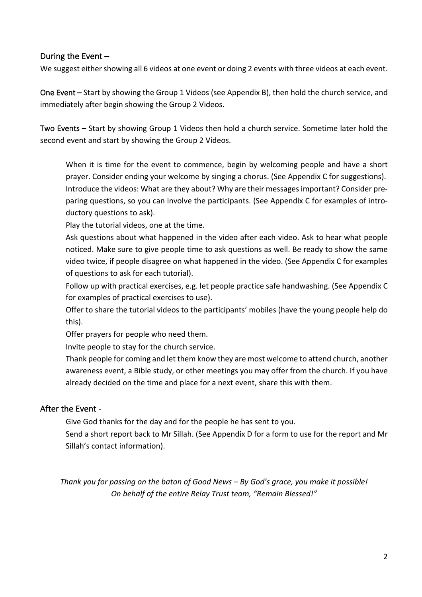#### During the Event –

We suggest either showing all 6 videos at one event or doing 2 events with three videos at each event.

One Event – Start by showing the Group 1 Videos (see Appendix B), then hold the church service, and immediately after begin showing the Group 2 Videos.

Two Events **–** Start by showing Group 1 Videos then hold a church service. Sometime later hold the second event and start by showing the Group 2 Videos.

 When it is time for the event to commence, begin by welcoming people and have a short prayer. Consider ending your welcome by singing a chorus. (See Appendix C for suggestions). Introduce the videos: What are they about? Why are their messages important? Consider preparing questions, so you can involve the participants. (See Appendix C for examples of introductory questions to ask).

Play the tutorial videos, one at the time.

 Ask questions about what happened in the video after each video. Ask to hear what people noticed. Make sure to give people time to ask questions as well. Be ready to show the same video twice, if people disagree on what happened in the video. (See Appendix C for examples of questions to ask for each tutorial).

 Follow up with practical exercises, e.g. let people practice safe handwashing. (See Appendix C for examples of practical exercises to use).

 Offer to share the tutorial videos to the participants' mobiles (have the young people help do this).

Offer prayers for people who need them.

Invite people to stay for the church service.

 Thank people for coming and let them know they are most welcome to attend church, another awareness event, a Bible study, or other meetings you may offer from the church. If you have already decided on the time and place for a next event, share this with them.

#### After the Event -

Give God thanks for the day and for the people he has sent to you.

 Send a short report back to Mr Sillah. (See Appendix D for a form to use for the report and Mr Sillah's contact information).

*Thank you for passing on the baton of Good News – By God's grace, you make it possible! On behalf of the entire Relay Trust team, "Remain Blessed!"*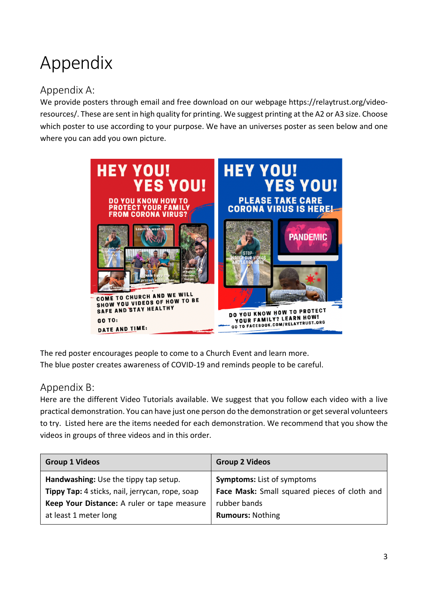# Appendix

# Appendix A:

We provide posters through email and free download on our webpage https://relaytrust.org/videoresources/. These are sent in high quality for printing. We suggest printing at the A2 or A3 size. Choose which poster to use according to your purpose. We have an universes poster as seen below and one where you can add you own picture.



The red poster encourages people to come to a Church Event and learn more. The blue poster creates awareness of COVID-19 and reminds people to be careful.

### Appendix B:

Here are the different Video Tutorials available. We suggest that you follow each video with a live practical demonstration. You can have just one person do the demonstration or get several volunteers to try. Listed here are the items needed for each demonstration. We recommend that you show the videos in groups of three videos and in this order.

| <b>Group 1 Videos</b>                           | <b>Group 2 Videos</b>                        |
|-------------------------------------------------|----------------------------------------------|
| Handwashing: Use the tippy tap setup.           | <b>Symptoms:</b> List of symptoms            |
| Tippy Tap: 4 sticks, nail, jerrycan, rope, soap | Face Mask: Small squared pieces of cloth and |
| Keep Your Distance: A ruler or tape measure     | rubber bands                                 |
| at least 1 meter long                           | <b>Rumours: Nothing</b>                      |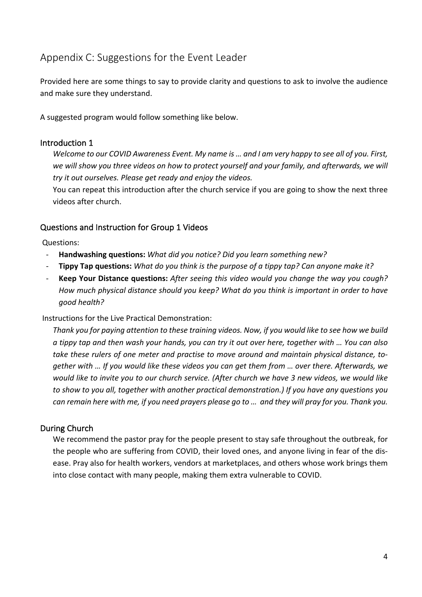# Appendix C: Suggestions for the Event Leader

Provided here are some things to say to provide clarity and questions to ask to involve the audience and make sure they understand.

A suggested program would follow something like below.

#### Introduction 1

*Welcome to our COVID Awareness Event. My name is … and I am very happy to see all of you. First, we will show you three videos on how to protect yourself and your family, and afterwards, we will try it out ourselves. Please get ready and enjoy the videos.* 

You can repeat this introduction after the church service if you are going to show the next three videos after church.

#### Questions and Instruction for Group 1 Videos

Questions:

- **Handwashing questions:** *What did you notice? Did you learn something new?*
- **Tippy Tap questions:** *What do you think is the purpose of a tippy tap? Can anyone make it?*
- **Keep Your Distance questions:** *After seeing this video would you change the way you cough? How much physical distance should you keep? What do you think is important in order to have good health?*

#### Instructions for the Live Practical Demonstration:

*Thank you for paying attention to these training videos. Now, if you would like to see how we build a tippy tap and then wash your hands, you can try it out over here, together with … You can also take these rulers of one meter and practise to move around and maintain physical distance, together with … If you would like these videos you can get them from … over there. Afterwards, we would like to invite you to our church service. (After church we have 3 new videos, we would like to show to you all, together with another practical demonstration.) If you have any questions you can remain here with me, if you need prayers please go to … and they will pray for you. Thank you.*

#### During Church

We recommend the pastor pray for the people present to stay safe throughout the outbreak, for the people who are suffering from COVID, their loved ones, and anyone living in fear of the disease. Pray also for health workers, vendors at marketplaces, and others whose work brings them into close contact with many people, making them extra vulnerable to COVID.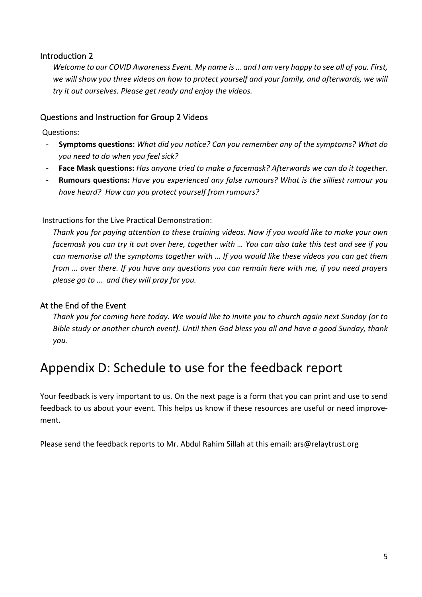#### Introduction 2

*Welcome to our COVID Awareness Event. My name is … and I am very happy to see all of you. First, we will show you three videos on how to protect yourself and your family, and afterwards, we will try it out ourselves. Please get ready and enjoy the videos.* 

#### Questions and Instruction for Group 2 Videos

Questions:

- **Symptoms questions:** *What did you notice? Can you remember any of the symptoms? What do you need to do when you feel sick?*
- **Face Mask questions:** *Has anyone tried to make a facemask? Afterwards we can do it together.*
- **Rumours questions:** *Have you experienced any false rumours? What is the silliest rumour you have heard? How can you protect yourself from rumours?*

Instructions for the Live Practical Demonstration:

*Thank you for paying attention to these training videos. Now if you would like to make your own facemask you can try it out over here, together with … You can also take this test and see if you can memorise all the symptoms together with … If you would like these videos you can get them from … over there. If you have any questions you can remain here with me, if you need prayers please go to … and they will pray for you.* 

#### At the End of the Event

*Thank you for coming here today. We would like to invite you to church again next Sunday (or to Bible study or another church event). Until then God bless you all and have a good Sunday, thank you.*

# Appendix D: Schedule to use for the feedback report

Your feedback is very important to us. On the next page is a form that you can print and use to send feedback to us about your event. This helps us know if these resources are useful or need improvement.

Please send the feedback reports to Mr. Abdul Rahim Sillah at this email: ars@relaytrust.org